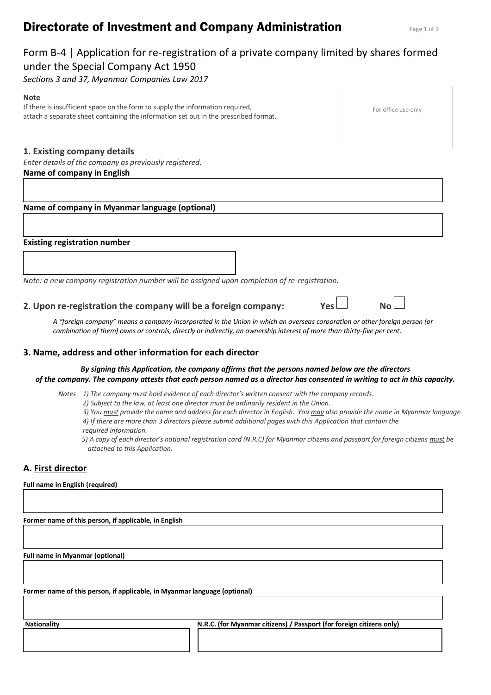# **Directorate of Investment and Company Administration Page 1 of 9 Rage 1 of 9**

# Form B-4 | Application for re-registration of a private company limited by shares formed under the Special Company Act 1950

*Sections 3 and 37, Myanmar Companies Law 2017*

#### **Note**

If there is insufficient space on the form to supply the information required, attach a separate sheet containing the information set out in the prescribed format.

# **1. Existing company details**

*Enter details of the company as previously registered.* **Name of company in English** 

# **Name of company in Myanmar language (optional)**

## **Existing registration number**

*Note: a new company registration number will be assigned upon completion of re-registration.*

# **2. Upon re-registration the company will be a foreign company: Yes**

*A "foreign company" means a company incorporated in the Union in which an overseas corporation or other foreign person (or combination of them) owns or controls, directly or indirectly, an ownership interest of more than thirty-five per cent.*

## **3. Name, address and other information for each director**

#### *By signing this Application, the company affirms that the persons named below are the directors of the company. The company attests that each person named as a director has consented in writing to act in this capacity.*

*Notes 1) The company must hold evidence of each director's written consent with the company records.*

*2) Subject to the law, at least one director must be ordinarily resident in the Union.*

*3) You must provide the name and address for each director in English. You may also provide the name in Myanmar language. 4) If there are more than 3 directors please submit additional pages with this Application that contain the required information.*

*5) A copy of each director's national registration card (N.R.C) for Myanmar citizens and passport for foreign citizens must be attached to this Application.* 

# **A. First director**

#### **Full name in English (required)**

**Former name of this person, if applicable, in English**

**Full name in Myanmar (optional)**

**Former name of this person, if applicable, in Myanmar language (optional)**

**Nationality N.R.C. (for Myanmar citizens) / Passport (for foreign citizens only)**



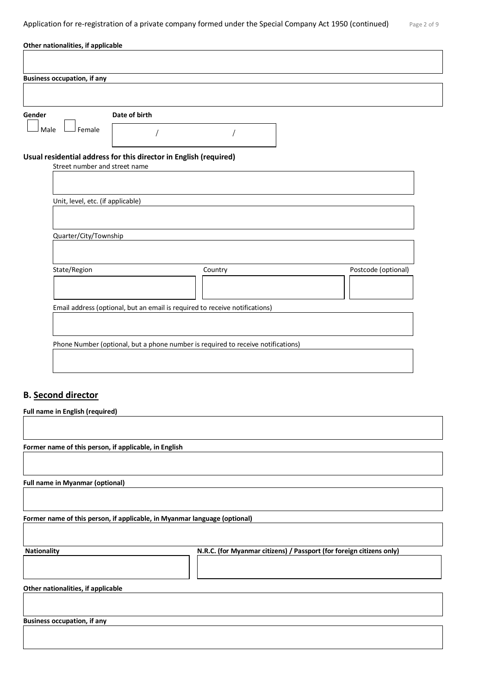| Gender<br>Date of birth<br>Female<br>Male<br>Usual residential address for this director in English (required)<br>Street number and street name<br>Unit, level, etc. (if applicable) |         |                     |
|--------------------------------------------------------------------------------------------------------------------------------------------------------------------------------------|---------|---------------------|
|                                                                                                                                                                                      |         |                     |
|                                                                                                                                                                                      |         |                     |
|                                                                                                                                                                                      |         |                     |
|                                                                                                                                                                                      |         |                     |
|                                                                                                                                                                                      |         |                     |
| Quarter/City/Township                                                                                                                                                                |         |                     |
| State/Region                                                                                                                                                                         | Country | Postcode (optional) |
| Email address (optional, but an email is required to receive notifications)                                                                                                          |         |                     |
|                                                                                                                                                                                      |         |                     |

# **B. Second director**

| Full name in English (required)                                           |                                                                      |
|---------------------------------------------------------------------------|----------------------------------------------------------------------|
|                                                                           |                                                                      |
|                                                                           |                                                                      |
| Former name of this person, if applicable, in English                     |                                                                      |
|                                                                           |                                                                      |
|                                                                           |                                                                      |
| <b>Full name in Myanmar (optional)</b>                                    |                                                                      |
|                                                                           |                                                                      |
|                                                                           |                                                                      |
| Former name of this person, if applicable, in Myanmar language (optional) |                                                                      |
|                                                                           |                                                                      |
| <b>Nationality</b>                                                        | N.R.C. (for Myanmar citizens) / Passport (for foreign citizens only) |
|                                                                           |                                                                      |
|                                                                           |                                                                      |
| Other nationalities, if applicable                                        |                                                                      |
|                                                                           |                                                                      |
|                                                                           |                                                                      |
| <b>Business occupation, if any</b>                                        |                                                                      |
|                                                                           |                                                                      |
|                                                                           |                                                                      |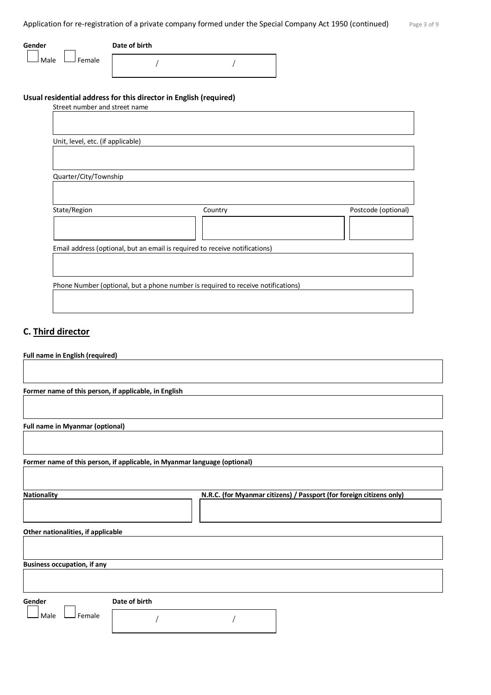Application for re-registration of a private company formed under the Special Company Act 1950 (continued) Page 3 of 9

| Gender         | Date of birth |  |
|----------------|---------------|--|
| Female<br>Male |               |  |

# **Usual residential address for this director in English (required)**

| Street number and street name     |                                                                                  |                     |
|-----------------------------------|----------------------------------------------------------------------------------|---------------------|
|                                   |                                                                                  |                     |
|                                   |                                                                                  |                     |
| Unit, level, etc. (if applicable) |                                                                                  |                     |
|                                   |                                                                                  |                     |
|                                   |                                                                                  |                     |
| Quarter/City/Township             |                                                                                  |                     |
|                                   |                                                                                  |                     |
|                                   |                                                                                  |                     |
| State/Region                      | Country                                                                          | Postcode (optional) |
|                                   |                                                                                  |                     |
|                                   |                                                                                  |                     |
|                                   | Email address (optional, but an email is required to receive notifications)      |                     |
|                                   |                                                                                  |                     |
|                                   |                                                                                  |                     |
|                                   | Phone Number (optional, but a phone number is required to receive notifications) |                     |
|                                   |                                                                                  |                     |
|                                   |                                                                                  |                     |

# **C. Third director**

| Full name in English (required)                       |                                                                           |
|-------------------------------------------------------|---------------------------------------------------------------------------|
|                                                       |                                                                           |
|                                                       |                                                                           |
| Former name of this person, if applicable, in English |                                                                           |
|                                                       |                                                                           |
| <b>Full name in Myanmar (optional)</b>                |                                                                           |
|                                                       |                                                                           |
|                                                       | Former name of this person, if applicable, in Myanmar language (optional) |
|                                                       |                                                                           |
| <b>Nationality</b>                                    | N.R.C. (for Myanmar citizens) / Passport (for foreign citizens only)      |
|                                                       |                                                                           |
| Other nationalities, if applicable                    |                                                                           |
|                                                       |                                                                           |
| <b>Business occupation, if any</b>                    |                                                                           |
|                                                       |                                                                           |
|                                                       |                                                                           |
| Gender                                                | Date of birth                                                             |
| Female<br>Male                                        |                                                                           |
|                                                       |                                                                           |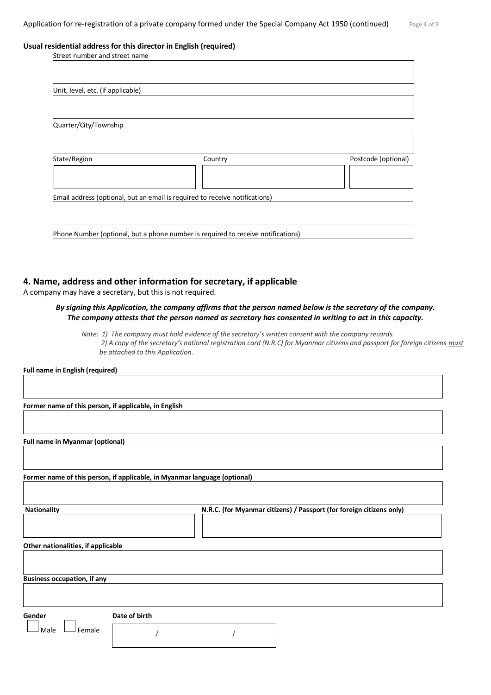#### **Usual residential address for this director in English (required)**

| Street number and street name     |                                                                                  |                     |
|-----------------------------------|----------------------------------------------------------------------------------|---------------------|
|                                   |                                                                                  |                     |
|                                   |                                                                                  |                     |
| Unit, level, etc. (if applicable) |                                                                                  |                     |
|                                   |                                                                                  |                     |
|                                   |                                                                                  |                     |
| Quarter/City/Township             |                                                                                  |                     |
|                                   |                                                                                  |                     |
|                                   |                                                                                  |                     |
| State/Region                      | Country                                                                          | Postcode (optional) |
|                                   |                                                                                  |                     |
|                                   |                                                                                  |                     |
|                                   | Email address (optional, but an email is required to receive notifications)      |                     |
|                                   |                                                                                  |                     |
|                                   |                                                                                  |                     |
|                                   | Phone Number (optional, but a phone number is required to receive notifications) |                     |
|                                   |                                                                                  |                     |
|                                   |                                                                                  |                     |
|                                   |                                                                                  |                     |

#### **4. Name, address and other information for secretary, if applicable**

A company may have a secretary, but this is not required.

#### *By signing this Application, the company affirms that the person named below is the secretary of the company. The company attests that the person named as secretary has consented in writing to act in this capacity.*

*Note: 1) The company must hold evidence of the secretary's written consent with the company records. 2) A copy of the secretary's national registration card (N.R.C) for Myanmar citizens and passport for foreign citizens must be attached to this Application.* 

**Full name in English (required)**

**Former name of this person, if applicable, in English**

**Full name in Myanmar (optional)**

**Former name of this person, if applicable, in Myanmar language (optional)**

Nationality **N.R.C. (for Myanmar citizens) / Passport (for foreign citizens only)** 

**Other nationalities, if applicable**

**Business occupation, if any**

**Gender Date of birth**

 $\vert$  Male  $\vert$  Female

/ /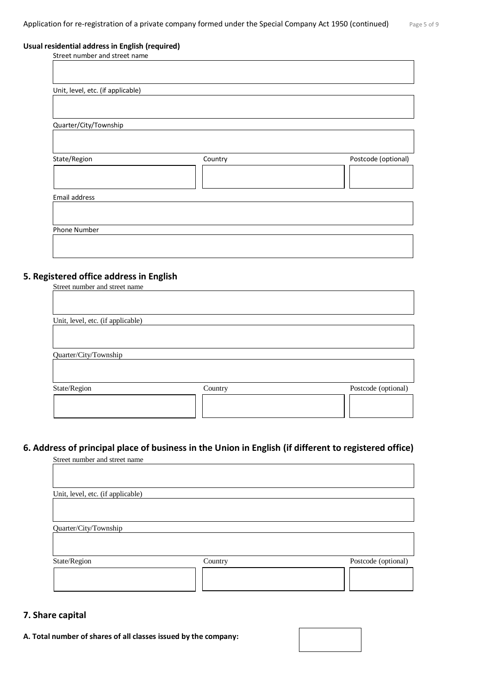#### **Usual residential address in English (required)**

| Street number and street name     |         |                     |
|-----------------------------------|---------|---------------------|
|                                   |         |                     |
|                                   |         |                     |
|                                   |         |                     |
| Unit, level, etc. (if applicable) |         |                     |
|                                   |         |                     |
|                                   |         |                     |
| Quarter/City/Township             |         |                     |
|                                   |         |                     |
|                                   |         |                     |
|                                   |         |                     |
| State/Region                      | Country | Postcode (optional) |
|                                   |         |                     |
|                                   |         |                     |
| Email address                     |         |                     |
|                                   |         |                     |
|                                   |         |                     |
|                                   |         |                     |
| Phone Number                      |         |                     |
|                                   |         |                     |
|                                   |         |                     |

# **5. Registered office address in English**

| Street number and street name     |         |                     |
|-----------------------------------|---------|---------------------|
|                                   |         |                     |
|                                   |         |                     |
| Unit, level, etc. (if applicable) |         |                     |
|                                   |         |                     |
|                                   |         |                     |
| Quarter/City/Township             |         |                     |
|                                   |         |                     |
|                                   |         |                     |
| State/Region                      | Country | Postcode (optional) |
|                                   |         |                     |
|                                   |         |                     |
|                                   |         |                     |

# **6. Address of principal place of business in the Union in English (if different to registered office)**

| Street number and street name     |         |                     |
|-----------------------------------|---------|---------------------|
|                                   |         |                     |
| Unit, level, etc. (if applicable) |         |                     |
|                                   |         |                     |
| Quarter/City/Township             |         |                     |
|                                   |         |                     |
| State/Region                      | Country | Postcode (optional) |
|                                   |         |                     |

# **7. Share capital**

**A. Total number of shares of all classes issued by the company:**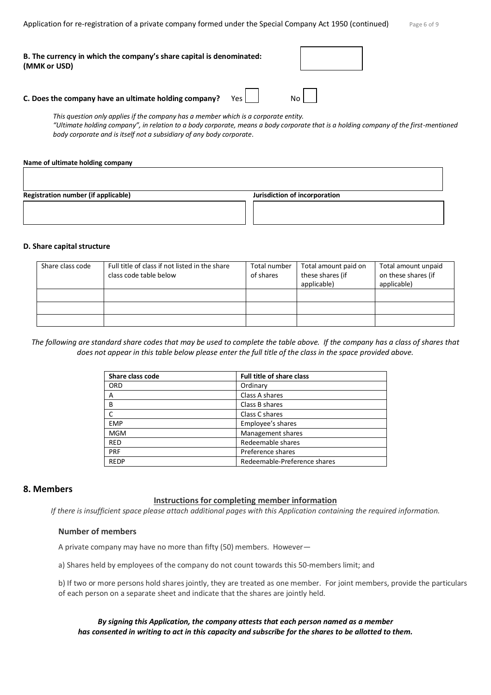Application for re-registration of a private company formed under the Special Company Act 1950 (continued)

| Page 6 of 9 |  |  |  |  |
|-------------|--|--|--|--|
|-------------|--|--|--|--|

| B. The currency in which the company's share capital is denominated:<br>(MMK or USD) |       |  |
|--------------------------------------------------------------------------------------|-------|--|
| C. Does the company have an ultimate holding company?                                | Yes I |  |

*This question only applies if the company has a member which is a corporate entity. "Ultimate holding company", in relation to a body corporate, means a body corporate that is a holding company of the first-mentioned body corporate and is itself not a subsidiary of any body corporate.*

# **Name of ultimate holding company**

| <b>Registration number (if applicable)</b> | Jurisdiction of incorporation |
|--------------------------------------------|-------------------------------|
|                                            |                               |

# **D. Share capital structure**

| Share class code | Full title of class if not listed in the share<br>class code table below | Total number<br>of shares | Total amount paid on<br>these shares (if<br>applicable) | Total amount unpaid<br>on these shares (if<br>applicable) |
|------------------|--------------------------------------------------------------------------|---------------------------|---------------------------------------------------------|-----------------------------------------------------------|
|                  |                                                                          |                           |                                                         |                                                           |
|                  |                                                                          |                           |                                                         |                                                           |
|                  |                                                                          |                           |                                                         |                                                           |

*The following are standard share codes that may be used to complete the table above. If the company has a class of shares that does not appear in this table below please enter the full title of the class in the space provided above.*

| Share class code | <b>Full title of share class</b> |
|------------------|----------------------------------|
| ORD              | Ordinary                         |
| A                | Class A shares                   |
| B                | Class B shares                   |
| C                | Class C shares                   |
| <b>EMP</b>       | Employee's shares                |
| <b>MGM</b>       | Management shares                |
| <b>RED</b>       | Redeemable shares                |
| <b>PRF</b>       | Preference shares                |
| <b>REDP</b>      | Redeemable-Preference shares     |

# **8. Members**

# **Instructions for completing member information**

*If there is insufficient space please attach additional pages with this Application containing the required information.*

# **Number of members**

A private company may have no more than fifty (50) members. However—

a) Shares held by employees of the company do not count towards this 50-members limit; and

b) If two or more persons hold shares jointly, they are treated as one member. For joint members, provide the particulars of each person on a separate sheet and indicate that the shares are jointly held.

# *By signing this Application, the company attests that each person named as a member has consented in writing to act in this capacity and subscribe for the shares to be allotted to them.*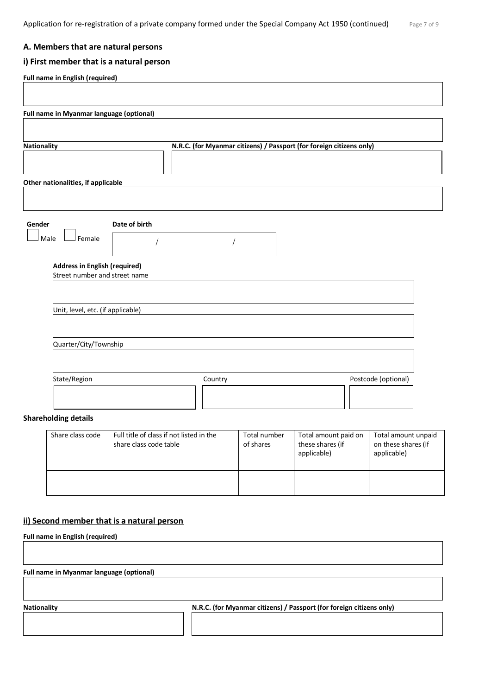#### **A. Members that are natural persons**

#### **i) First member that is a natural person**

| <b>Nationality</b>                 |                                      | N.R.C. (for Myanmar citizens) / Passport (for foreign citizens only) |  |  |
|------------------------------------|--------------------------------------|----------------------------------------------------------------------|--|--|
|                                    |                                      |                                                                      |  |  |
| Other nationalities, if applicable |                                      |                                                                      |  |  |
|                                    |                                      |                                                                      |  |  |
| Gender                             | Date of birth                        |                                                                      |  |  |
| Male<br>Female                     |                                      |                                                                      |  |  |
|                                    |                                      |                                                                      |  |  |
|                                    | <b>Address in English (required)</b> |                                                                      |  |  |
| Street number and street name      |                                      |                                                                      |  |  |
|                                    |                                      |                                                                      |  |  |
| Unit, level, etc. (if applicable)  |                                      |                                                                      |  |  |
|                                    |                                      |                                                                      |  |  |
| Quarter/City/Township              |                                      |                                                                      |  |  |

#### **Shareholding details**

| Share class code | Full title of class if not listed in the<br>share class code table | Total number<br>of shares | Total amount paid on<br>these shares (if<br>applicable) | Total amount unpaid<br>on these shares (if<br>applicable) |
|------------------|--------------------------------------------------------------------|---------------------------|---------------------------------------------------------|-----------------------------------------------------------|
|                  |                                                                    |                           |                                                         |                                                           |
|                  |                                                                    |                           |                                                         |                                                           |
|                  |                                                                    |                           |                                                         |                                                           |

# **ii) Second member that is a natural person**

**Full name in English (required)**

**Full name in Myanmar language (optional)**

Nationality **Nationality N.R.C. (for Myanmar citizens) / Passport (for foreign citizens only)**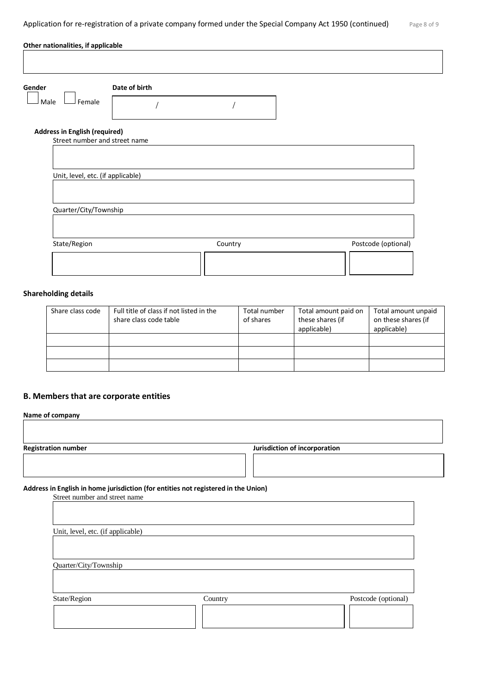| Date of birth<br>Gender              |         |                     |
|--------------------------------------|---------|---------------------|
| Female<br>Male                       |         |                     |
| <b>Address in English (required)</b> |         |                     |
| Street number and street name        |         |                     |
|                                      |         |                     |
| Unit, level, etc. (if applicable)    |         |                     |
|                                      |         |                     |
|                                      |         |                     |
|                                      |         |                     |
| Quarter/City/Township                |         |                     |
| State/Region                         | Country | Postcode (optional) |

# **Shareholding details**

| Share class code | Full title of class if not listed in the<br>share class code table | Total number<br>of shares | Total amount paid on<br>these shares (if<br>applicable) | Total amount unpaid<br>on these shares (if<br>applicable) |
|------------------|--------------------------------------------------------------------|---------------------------|---------------------------------------------------------|-----------------------------------------------------------|
|                  |                                                                    |                           |                                                         |                                                           |
|                  |                                                                    |                           |                                                         |                                                           |
|                  |                                                                    |                           |                                                         |                                                           |

# **B. Members that are corporate entities**

| <b>Registration number</b>                                                                                          |         | Jurisdiction of incorporation |
|---------------------------------------------------------------------------------------------------------------------|---------|-------------------------------|
| Address in English in home jurisdiction (for entities not registered in the Union)<br>Street number and street name |         |                               |
| Unit, level, etc. (if applicable)                                                                                   |         |                               |
|                                                                                                                     |         |                               |
| Quarter/City/Township                                                                                               |         |                               |
| State/Region                                                                                                        | Country | Postcode (optional)           |
|                                                                                                                     |         |                               |